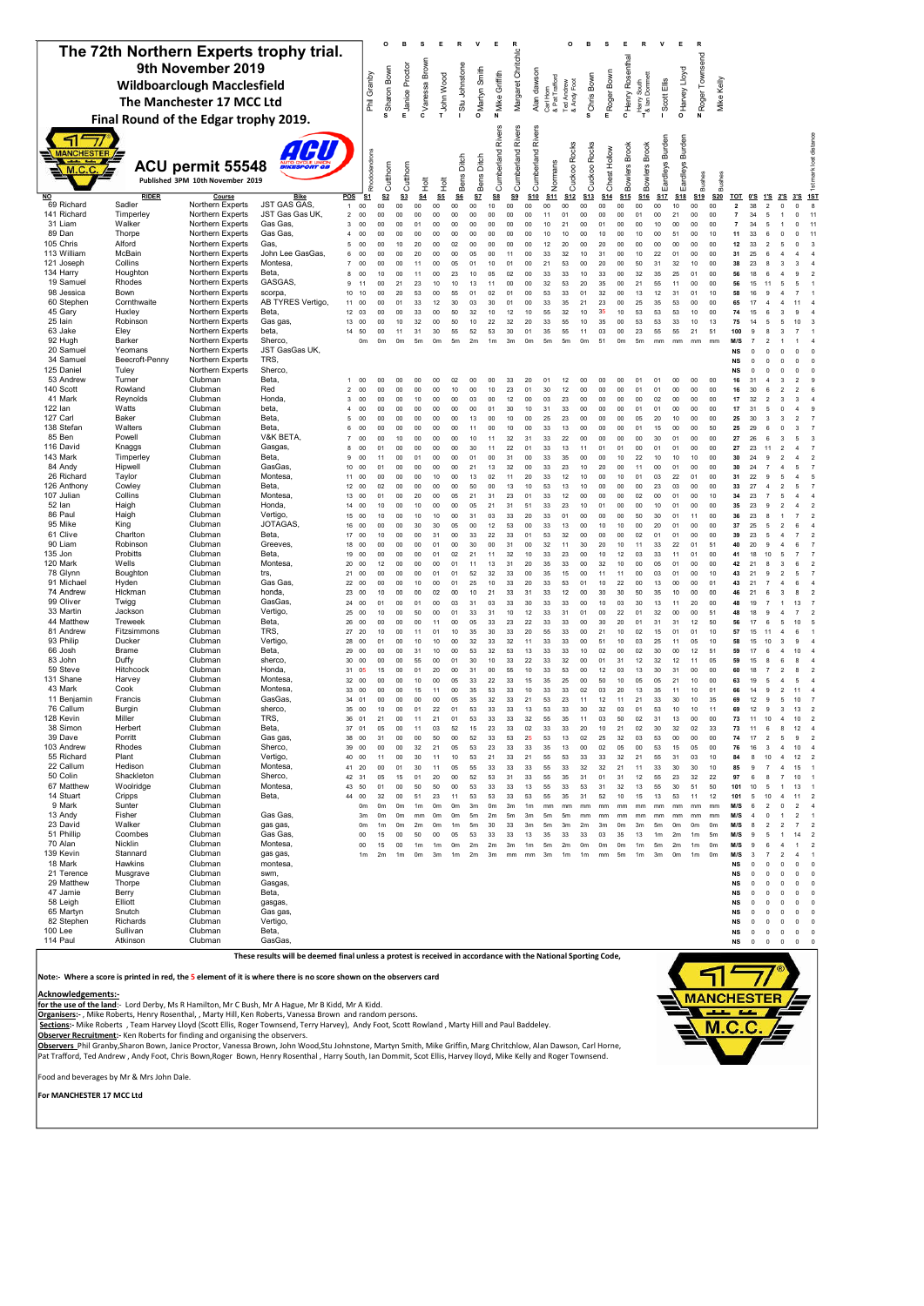|                                                              |                                       |                                                      |                                                                                                                |                                |                      | о                    |                                  |                                   |                                  |                                  |               | Е                    |                |                      |                             | o                         |                         | s                       |                      | R                                         | $\mathsf{v}$      | E                    | R                    |                      |                                |                            |                           |                                          |                                                             |
|--------------------------------------------------------------|---------------------------------------|------------------------------------------------------|----------------------------------------------------------------------------------------------------------------|--------------------------------|----------------------|----------------------|----------------------------------|-----------------------------------|----------------------------------|----------------------------------|---------------|----------------------|----------------|----------------------|-----------------------------|---------------------------|-------------------------|-------------------------|----------------------|-------------------------------------------|-------------------|----------------------|----------------------|----------------------|--------------------------------|----------------------------|---------------------------|------------------------------------------|-------------------------------------------------------------|
| The 72th Northern Experts trophy trial.<br>9th November 2019 |                                       |                                                      |                                                                                                                |                                |                      |                      |                                  |                                   |                                  |                                  |               | Margaret Chritchlo   |                |                      |                             |                           |                         | PHenry Rosenthal        |                      |                                           |                   | Roger Townsend       |                      |                      |                                |                            |                           |                                          |                                                             |
| <b>Wildboarclough Macclesfield</b>                           |                                       |                                                      |                                                                                                                |                                | Phil Granby          | wSharon Bown         | m Janice Proctor                 | o Vanessa Brown                   | HJohn Wood                       | - Stu Johnstone                  | OMartyn Smith | Z Mike Griffith      |                | Alan dawson          | Carl Horn<br>& Pat Trafford |                           | <sup>o</sup> Chris Bown | m <sub>Roger</sub> Bown |                      | Harry South<br><sup>1</sup> & Ian Dommett |                   | PHarvey Lloyd        |                      |                      |                                |                            |                           |                                          |                                                             |
|                                                              |                                       | The Manchester 17 MCC Ltd                            |                                                                                                                |                                |                      |                      |                                  |                                   |                                  |                                  |               |                      |                |                      |                             | Ted Andrew<br>& Andy Foot |                         |                         |                      |                                           | Scott Ellis       |                      |                      | Mike Kelly           |                                |                            |                           |                                          |                                                             |
|                                                              | Final Round of the Edgar trophy 2019. |                                                      |                                                                                                                |                                |                      |                      |                                  |                                   |                                  |                                  |               |                      |                |                      |                             |                           |                         |                         |                      |                                           |                   |                      |                      |                      |                                |                            |                           |                                          |                                                             |
|                                                              |                                       |                                                      |                                                                                                                |                                |                      |                      |                                  |                                   |                                  |                                  |               | Rivers               | Rivers         | Rivers               |                             |                           |                         |                         |                      |                                           |                   |                      |                      |                      |                                |                            |                           |                                          |                                                             |
| <b>ANCHESTER</b>                                             |                                       |                                                      | AGU                                                                                                            |                                |                      |                      |                                  |                                   |                                  |                                  |               |                      |                |                      |                             |                           |                         | Hollow                  |                      |                                           | Burden            | Burden               |                      |                      |                                |                            |                           |                                          |                                                             |
| M.C.C.                                                       |                                       | ACU permit 55548<br>Published 3PM 10th November 2019 |                                                                                                                |                                | Rhododendrons        | Cutthorn             | Cutthorn                         |                                   |                                  | Bens Ditch                       | Bens Ditch    | Cumberland           | Cumberland     | Cumberland           | Normans                     | Cuckoo Rocks              | Cuckoo Rocks            | Chest                   | Bowlers Brook        | Bowlers Brook                             | Eardleys <b>F</b> | Eardleys             | Bushes               | <b>Bushes</b>        |                                |                            |                           |                                          | mark lost distance                                          |
| NO                                                           | <b>RIDER</b>                          | Course                                               | <b>Bike</b>                                                                                                    | POS                            | <u>S1</u>            | S <sub>2</sub>       | S <sub>3</sub>                   | $\frac{\pi}{2}$<br>S <sub>4</sub> | <b>Hott</b><br>S <sub>5</sub>    | $\underline{\mathsf{S6}}$        | SZ            | S8                   | S9             | S <sub>10</sub>      | S11                         | S <sub>12</sub>           | S <sub>13</sub>         | S <sub>14</sub>         | S <sub>15</sub>      | S <sub>16</sub>                           | <b>S17</b>        | S <sub>18</sub>      | S <sub>19</sub>      | <b>S20</b>           | <b>TOT</b>                     | <u>0'S</u>                 | <u>1'S</u>                | <u>2'S</u>                               | $\frac{5}{2}$<br>1ST<br>3'S                                 |
| 69 Richard<br>141 Richard                                    | Sadler<br>Timperley                   | Northern Experts<br>Northern Experts                 | <b>JST GAS GAS</b><br>JST Gas Gas UK                                                                           | $\mathbf{1}$<br>$\overline{a}$ | 00<br>00             | 00<br>00             | 00<br>00                         | $00\,$<br>00                      | 00<br>00                         | 00<br>00                         | $00\,$<br>00  | $10$<br>00           | $00\,$<br>00   | 00<br>00             | $00\,$<br>11                | $00\,$<br>01              | $00\,$<br>00            | $00\,$<br>00            | $00\,$<br>$00\,$     | $00\,$<br>01                              | 00<br>00          | 10<br>21             | $_{00}$<br>00        | $00\,$<br>00         | $\mathbf{2}$<br>$\overline{7}$ | 38<br>34                   | $\overline{2}$<br>5       | $\mathbf 0$<br>$\mathbf{1}$              | $\mathbb O$<br>8<br>$\circ$                                 |
| 31 Liam                                                      | Walker                                | Northern Experts                                     | Gas Gas,                                                                                                       | 3                              | 00                   | 00                   | 00                               | 01                                | 00                               | 00                               | 00            | 00                   | 00             | 00                   | 10                          | 21                        | 00                      | 01                      | $00\,$               | $00\,$                                    | 10                | 00                   | 00                   | 00                   | $\overline{7}$                 | 34                         | 5                         | 1                                        | $\mathbf 0$                                                 |
| 89 Dan<br>105 Chris                                          | Thorpe<br>Alford                      | Northern Experts<br>Northern Experts                 | Gas Gas,<br>Gas,                                                                                               | $\overline{4}$<br>5            | 00<br>00             | 00<br>00             | 00<br>10                         | 00<br>20                          | 00<br>00                         | 00<br>02                         | 00<br>00      | 00<br>00             | 00<br>00       | 00<br>00             | 10<br>12                    | 10<br>20                  | 00<br>00                | 10<br>20                | 00<br>00             | 10<br>00                                  | 00<br>00          | 51<br>00             | 00<br>00             | 10<br>00             | 11<br>12                       | 33<br>33                   |                           | $\mathbf 0$                              | $\mathbf 0$                                                 |
| 113 William                                                  | McBain                                | Northern Experts                                     | John Lee GasGas,                                                                                               | 6                              | 00                   | 00                   | 00                               | 20                                | 00                               | 00                               | 05            | 00                   | 11             | 00                   | 33                          | 32                        | 10                      | 31                      | 00                   | 10                                        | 22                | 01                   | 00                   | 00                   | 31                             | 25                         |                           |                                          |                                                             |
| 121 Joseph<br>134 Harry                                      | Collins<br>Houghton                   | Northern Experts<br>Northern Experts                 | Montesa,<br>Beta,                                                                                              | $\overline{7}$<br>8            | 00<br>00             | 00<br>10             | 00<br>0 <sup>0</sup>             | 11<br>11                          | 00<br>0 <sup>0</sup>             | 05<br>23                         | 01<br>10      | 10<br>05             | 01<br>02       | 00<br>00             | 21<br>33                    | 53<br>33                  | 00<br>10                | 20<br>33                | 00<br>00             | 50<br>32                                  | 31<br>35          | 32<br>25             | 10<br>01             | 00<br>00             | 38<br>56                       | 23<br>18                   |                           |                                          | з<br>S                                                      |
| 19 Samuel                                                    | Rhodes                                | Northern Experts                                     | GASGAS.                                                                                                        | 9                              | 11                   | 00                   | 21                               | 23                                | 10                               | 10                               | 13            | 11                   | 00             | 00                   | 32                          | 53                        | 20                      | 35                      | 00                   | 21                                        | 55                | 11                   | 00                   | 00                   | 56                             | 15                         |                           |                                          | 5                                                           |
| 98 Jessica                                                   | Bown                                  | Northern Experts                                     | scorpa,                                                                                                        | 10                             | 10                   | 00                   | 20                               | 53                                | 00                               | 55                               | 01            | 02                   | 01             | 00                   | 53                          | 33                        | 01                      | 32                      | 00                   | 13                                        | 12                | 31                   | 01                   | 10                   | 58                             | 16                         |                           |                                          |                                                             |
| 60 Stephen<br>45 Gary                                        | Cornthwaite<br>Huxley                 | Northern Experts<br>Northern Experts                 | AB TYRES Vertigo<br>Beta.                                                                                      | 11<br>12                       | 00<br>03             | 00<br>00             | 01<br>00                         | 33<br>33                          | 12<br>00                         | 30<br>50                         | 03<br>32      | 30<br>10             | 01<br>12       | 00<br>10             | 33<br>55                    | 35<br>32                  | 21<br>10                | 23<br>35                | 00<br>10             | 25<br>53                                  | 35<br>53          | 53<br>53             | 00<br>10             | 00<br>00             | 65<br>74                       | 17<br>15                   |                           |                                          |                                                             |
| 25 lain                                                      | Robinson                              | Northern Experts                                     | Gas gas,                                                                                                       | 13                             | 00                   | 00                   | 10                               | 32                                | 00                               | 50                               | 10            | 22                   | 32             | 20                   | 33                          | 55                        | 10                      | 35                      | $00\,$               | 53                                        | 53                | 33                   | 10                   | 13                   | 75                             | 14                         | 5                         | 5                                        | 10                                                          |
| 63 Jake<br>92 Hugh                                           | Eley<br>Barker                        | Northern Experts<br>Northern Experts                 | beta,<br>Sherco,                                                                                               | 14                             | 50<br>0 <sub>m</sub> | 00<br>0 <sub>m</sub> | 11<br>0 <sub>m</sub>             | 31<br>5 <sub>m</sub>              | 30<br>0 <sub>m</sub>             | 55<br>5 <sub>m</sub>             | 52<br>2m      | 53<br>1 <sub>m</sub> | 30<br>3m       | 01<br>0 <sub>m</sub> | 35<br>5m                    | 55<br>5 <sub>m</sub>      | 11<br>0 <sub>m</sub>    | 03<br>51                | 00<br>0 <sub>m</sub> | 23<br>5 <sub>m</sub>                      | 55<br>mm          | 55<br>mm             | 21<br>mm             | 51<br>mm             | 100<br>M/S                     | $\mathbf{Q}$               | 2                         | з                                        |                                                             |
| 20 Samuel                                                    | Yeomans                               | Northern Experts                                     | JST GasGas UK,                                                                                                 |                                |                      |                      |                                  |                                   |                                  |                                  |               |                      |                |                      |                             |                           |                         |                         |                      |                                           |                   |                      |                      |                      | NS                             | 0                          | $^{\circ}$                | $\mathbf 0$                              | $\mathbf 0$                                                 |
| 34 Samuel<br>125 Daniel                                      | Beecroft-Penny<br>Tuley               | Northern Experts<br>Northern Experts                 | TRS,<br>Sherco,                                                                                                |                                |                      |                      |                                  |                                   |                                  |                                  |               |                      |                |                      |                             |                           |                         |                         |                      |                                           |                   |                      |                      |                      | <b>NS</b><br><b>NS</b>         | 0<br>0                     |                           | $\mathbf 0$                              | $\mathbf 0$<br>$\mathbf 0$                                  |
| 53 Andrew                                                    | Turner                                | Clubman                                              | Beta,                                                                                                          | 1                              | 00                   | 00                   | 00                               | 00                                | 00                               | 02                               | 00            | 00                   | 33             | 20                   | 01                          | 12                        | 00                      | 00                      | 00                   | 01                                        | 01                | 00                   | 00                   | 00                   | 16                             | 31                         |                           | 3                                        | 2                                                           |
| 140 Scott                                                    | Rowland                               | Clubman                                              | Red                                                                                                            | $\mathfrak{p}$                 | 00                   | 00                   | 0 <sup>0</sup>                   | 0 <sub>0</sub>                    | 00                               | 10                               | 00            | 10<br>00             | 23             | 01                   | 30<br>03                    | 12                        | 00                      | 0 <sup>0</sup>          | 00 <sub>0</sub>      | 01                                        | 01                | 00                   | 00                   | 00                   | 16                             | 30                         |                           | 2                                        |                                                             |
| 41 Mark<br>122 Ian                                           | Reynolds<br>Watts                     | Clubman<br>Clubman                                   | Honda,<br>beta.                                                                                                | 3<br>$\overline{4}$            | 00<br>00             | 00<br>00             | 0 <sup>0</sup><br>00             | 10<br>00                          | 0 <sup>0</sup><br>00             | 00<br>00                         | 03<br>00      | 01                   | 12<br>30       | 00<br>10             | 31                          | 23<br>33                  | 00 <sup>0</sup><br>00   | 00<br>$00\,$            | 00<br>$00\,$         | 00<br>01                                  | 02<br>01          | 00<br>$^{00}$        | 00<br>00             | 00<br>00             | 17<br>17                       | 32<br>31                   |                           | 3<br>3<br>$\Omega$                       | 4                                                           |
| 127 Carl                                                     | Baker                                 | Clubman                                              | Beta,                                                                                                          | 5                              | 00                   | 00                   | 00                               | 00                                | 00                               | 00                               | 13            | 00                   | 10             | 00                   | 25                          | 23                        | 00                      | $00\,$                  | $00\,$               | 05                                        | 20                | 10                   | 00                   | $00\,$               | 25                             | 30                         | 3                         | 3                                        | $\overline{2}$                                              |
| 138 Stefan<br>85 Ben                                         | Walters<br>Powell                     | Clubman<br>Clubman                                   | Beta,<br>V&K BETA                                                                                              | 6<br>$\overline{7}$            | 00<br>00             | 00<br>00             | 00<br>10                         | 00<br>00                          | 00<br>00                         | 00<br>00                         | 11<br>10      | 00<br>11             | 10<br>32       | 00<br>31             | 33<br>33                    | 13<br>22                  | 00<br>00                | 00<br>00                | 00<br>00             | 01<br>00                                  | 15<br>30          | $^{00}$<br>01        | 00<br>00             | 50<br>00             | 25<br>27                       | 29<br>26                   |                           | $\mathbf 0$<br>3                         | 5                                                           |
| 116 David                                                    | Knaggs                                | Clubman                                              | Gasgas,                                                                                                        | 8                              | 00                   | 01                   | 00                               | 00                                | 00                               | 00                               | 30            | 11                   | 22             | 01                   | 33                          | 13                        | 11                      | 01                      | 01                   | 00                                        | 01                | 01                   | 00                   | 00                   | 27                             | 23                         | 11                        | $\mathfrak{p}$<br>4                      |                                                             |
| 143 Mark                                                     | Timperley                             | Clubman                                              | Beta,                                                                                                          | 9                              | 00                   | 11                   | 00                               | 01                                | 00                               | 00                               | 01            | 00                   | 31             | 00                   | 33                          | 35                        | 00                      | 00                      | 10                   | 22                                        | 10                | 10                   | 10                   | 00                   | 30                             | 24                         |                           | 2                                        | 4                                                           |
| 84 Andy<br>26 Richard                                        | Hipwell<br>Taylor                     | Clubman<br>Clubman                                   | GasGas,<br>Montesa                                                                                             | 10<br>11                       | 00<br>00             | 01<br>00             | 00<br>00                         | 00<br>00                          | 00<br>10                         | 00<br>00                         | 21<br>13      | 13<br>02             | 32<br>11       | 00<br>20             | 33<br>33                    | 23<br>12                  | 10<br>10                | 20<br>$00\,$            | $00\,$<br>10         | 11<br>01                                  | $00\,$<br>03      | 01<br>22             | 00<br>01             | $00\,$<br>$00\,$     | 30<br>31                       | 24<br>22                   |                           | 5                                        | 5<br>4                                                      |
| 126 Anthony                                                  | Cowley                                | Clubman                                              | Beta.                                                                                                          | $12 \overline{ }$              | 00                   | 02                   | 00                               | 00                                | 00                               | 00                               | 50            | 00                   | 13             | 10                   | 53                          | 13                        | 10                      | 00                      | 00                   | 00                                        | 23                | 03                   | 00                   | 00                   | 33                             | 27                         |                           |                                          | 5                                                           |
| 107 Julian<br>52 lan                                         | Collins<br>Haigh                      | Clubman<br>Clubman                                   | Montesa<br>Honda,                                                                                              | 13<br>14                       | 00<br>00             | 01<br>10             | 00<br>00                         | 20<br>10                          | 00<br>00                         | 05<br>00                         | 21<br>05      | 31<br>21             | 23<br>31       | 01<br>51             | 33<br>33                    | 12<br>23                  | 00<br>10                | 00<br>01                | 00<br>$00\,$         | 02<br>00                                  | $00\,$<br>10      | 01<br>01             | 00<br>00             | 10<br>00             | 34<br>35                       | 23<br>23                   |                           |                                          | 4<br>$\overline{4}$                                         |
| 86 Paul                                                      | Haigh                                 | Clubman                                              | Vertigo,                                                                                                       | 15                             | 00                   | 10                   | 0 <sup>0</sup>                   | 10                                | 10                               | 00                               | 31            | 03                   | 33             | 20                   | 33                          | 01                        | 00                      | 00                      | 00                   | 50                                        | 30                | 01                   | 11                   | 00                   | 36                             | 23                         |                           |                                          |                                                             |
| 95 Mike<br>61 Clive                                          | King<br>Charlton                      | Clubman<br>Clubman                                   | JOTAGAS.<br>Beta,                                                                                              | 16<br>17                       | 00<br>00             | $00\,$<br>10         | 00<br>00                         | 30<br>00                          | 30<br>31                         | 05<br>00                         | 00<br>33      | 12<br>22             | 53<br>33       | 00<br>01             | 33<br>53                    | 13<br>32                  | 00<br>00                | 10<br>$00\,$            | 10<br>$00\,$         | 00<br>02                                  | 20<br>01          | 01<br>01             | 00<br>00             | 00<br>$00\,$         | 37<br>39                       | 25<br>23                   |                           | 2                                        | 6                                                           |
| 90 Liam                                                      | Robinson                              | Clubman                                              | Greeves                                                                                                        | 18                             | 00                   | 00                   | 00                               | 00                                | 01                               | 00                               | 30            | 00                   | 31             | 00                   | 32                          | 11                        | 30                      | 20                      | 10                   | 11                                        | 33                | 22                   | 01                   | 51                   | 40                             | 20                         |                           |                                          |                                                             |
| 135 Jon                                                      | Probitts                              | Clubman                                              | Beta,                                                                                                          | 19                             | 00                   | 00                   | 00                               | 00                                | 01                               | 02                               | 21            | 11                   | 32             | 10                   | 33                          | 23                        | 00                      | 10                      | 12                   | 03                                        | 33                | 11                   | 01                   | 00                   | 41                             | 18                         | 10                        | 5                                        | 7                                                           |
| 120 Mark<br>78 Glynn                                         | Wells<br>Boughton                     | Clubman<br>Clubman                                   | Montesa,<br>trs,                                                                                               | 20<br>21                       | 00<br>00             | 12<br>$00\,$         | 00<br>00                         | 00<br>00                          | 00<br>01                         | 01<br>01                         | 11<br>52      | 13<br>32             | 31<br>33       | 20<br>$00\,$         | 35<br>35                    | 33<br>15                  | 00<br>00                | 32<br>11                | 10<br>11             | 00<br>00                                  | 05<br>03          | 01<br>01             | 00<br>00             | 00<br>10             | 42<br>43                       | 21<br>21                   | 8<br>$\mathbf{Q}$         | 3<br>$\overline{2}$                      | 6<br>5                                                      |
| 91 Michael                                                   | Hyden                                 | Clubman                                              | Gas Gas,                                                                                                       | 22                             | 00                   | $00\,$               | 00                               | 10                                | 00                               | 01                               | 25            | 10                   | 33             | 20                   | 33                          | 53                        | 01                      | 10                      | 22                   | 00                                        | 13                | $00\,$               | 00                   | 01                   | 43                             | 21                         |                           | 4                                        | 6                                                           |
| 74 Andrew<br>99 Oliver                                       | Hickman<br>Twigg                      | Clubman<br>Clubman                                   | honda,<br>GasGas,                                                                                              | 23<br>24                       | 00<br>00             | 10<br>01             | 00<br>00                         | 00<br>01                          | 02<br>00                         | 00<br>03                         | 10<br>31      | 21<br>03             | 33<br>33       | 31<br>30             | 33<br>33                    | 12<br>33                  | 00<br>00                | 30<br>10                | 30<br>03             | 50<br>30                                  | 35<br>13          | 10<br>11             | 00<br>20             | 00<br>00             | 46<br>48                       | 21<br>19                   |                           | 3                                        | ε<br>13                                                     |
| 33 Martin                                                    | Jackson                               | Clubman                                              | Vertigo,                                                                                                       | 25                             | $_{00}$              | 10                   | 00                               | 50                                | 00                               | 01                               | 33            | 31                   | 10             | 12                   | 33                          | 31                        | 01                      | 00                      | 22                   | 01                                        | 32                | $^{00}$              | 00                   | 51                   | 48                             | 18                         |                           |                                          |                                                             |
| 44 Matthew<br>81 Andrew                                      | Treweek<br>Fitzsimmons                | Clubman<br>Clubman                                   | Beta,<br>TRS,                                                                                                  | 26<br>27                       | 00<br>20             | 00<br>10             | 00<br>0 <sup>0</sup>             | 00<br>11                          | 11<br>01                         | 00<br>10                         | 05<br>35      | 33<br>30             | 23<br>33       | 22<br>20             | 33<br>55                    | 33<br>33                  | 00<br>00                | 30<br>21                | 20<br>10             | 01<br>02                                  | 31<br>15          | 31<br>01             | 12<br>01             | 50<br>10             | 56<br>57                       | 17<br>15                   |                           | 5                                        | 10<br>6                                                     |
| 93 Philip                                                    | Ducker                                | Clubman                                              | Vertigo,                                                                                                       | 28                             | 00                   | 01                   | 00                               | 10                                | 10                               | 00                               | 32            | 33                   | 32             | 11                   | 33                          | 33                        | 00                      | 51                      | 10                   | 03                                        | 25                | 11                   | 05                   | 10                   | 58                             | 15                         | 10                        | 3<br>S                                   |                                                             |
| 66 Josh<br>83 John                                           | Brame<br>Duffy                        | Clubman<br>Clubman                                   | Beta,<br>sherco,                                                                                               | 29                             | 00                   | 00                   | 00<br>00                         | 31<br>55                          | 10<br>00                         | 00<br>01                         | 53<br>30      | 32                   | 53<br>33       | 13                   | 33<br>33                    | 33<br>32                  | 10<br>00                | 02<br>01                | $^{00}$<br>31        | 02                                        | 30<br>32          | $00\,$               | 12<br>11             | 51                   | 59<br>59                       | 17<br>15                   |                           | 6                                        | ε                                                           |
| 59 Steve                                                     | Hitchcock                             | Clubman                                              | Honda,                                                                                                         | 30<br>31                       | 00<br>05             | 00<br>15             | 00                               | 01                                | 20                               | 00                               | 31            | 10<br>00             | 55             | 22<br>10             | 33                          | 53                        | 00                      | 12                      | 03                   | 12<br>13                                  | 30                | 12<br>31             | 00                   | 05<br>00             | 60                             | 18                         |                           | $\overline{2}$                           | 8                                                           |
| 131 Shane                                                    | Harvey                                | Clubman                                              | Montesa                                                                                                        | 32                             | 00                   | 00                   | 00                               | 10                                | 00                               | 05                               | 33            | 22                   | 33             | 15                   | 35                          | 25                        | 00                      | 50                      | 10                   | 05                                        | 05                | 21                   | 10                   | 00                   | 63                             | 19                         |                           |                                          | 5                                                           |
| 43 Mark<br>11 Benjamin                                       | Cook<br>Francis                       | Clubman<br>Clubman                                   | Montesa,<br>GasGas,                                                                                            | 33<br>34                       | 00<br>01             | 00<br>00             | 00<br>00                         | 15<br>00                          | 11<br>00                         | 00<br>05                         | 35<br>35      | 53<br>32             | 33<br>33       | 10<br>21             | 33<br>53                    | 33<br>23                  | 02<br>11                | 03<br>12                | 20<br>11             | 13<br>21                                  | 35<br>33          | 11<br>30             | 10<br>10             | 01<br>35             | 66<br>69                       | 14<br>12                   | я                         | 2<br>5                                   | 10                                                          |
| 76 Callum                                                    | Burgin                                | Clubman                                              | sherco,                                                                                                        | 35                             | 00                   | 10                   | 00                               | 01                                | 22                               | 01                               | 53            | 33                   | 33             | 13                   | 53                          | 33                        | 30                      | 32                      | 03                   | 01                                        | 53                | 10                   | 10                   | 11                   | 69                             | 12                         | 9                         | 3                                        | 13<br>2                                                     |
| 128 Kevin<br>38 Simon                                        | Miller<br>Herbert                     | Clubman<br>Clubman                                   | TRS,<br>Beta,                                                                                                  | 36<br>37                       | 01<br>U1             | 21<br>U5             | 00<br>00                         | 11<br>וו                          | 21                               | 01<br>52                         | 53<br>15      | 33<br>23             | 33             | 32<br>U2             | 55<br>33                    | 35<br>33                  | 11                      | 03<br>าบ                | 50<br>21             | 02<br>υz                                  | 31                | 13<br>32             | 00<br>U2             | $00\,$<br>33         | 73                             | 11                         | 10                        | $\overline{4}$                           | 10                                                          |
| 39 Dave                                                      | Porritt                               | Clubman                                              | Gas gas,                                                                                                       | 38                             | 00                   | 31                   | 00                               | 00                                | 50                               | 00                               | 52            | 33                   | 53             | 25                   | 53                          | 13                        | 02                      | 25                      | 32                   | 03                                        | 53                | 00                   | 00                   | 00                   | 74                             | 17                         | $\overline{2}$            | 9<br>5                                   | $\overline{2}$                                              |
| 103 Andrew<br>55 Richard                                     | Rhodes<br>Plant                       | Clubman<br>Clubman                                   | Sherco,<br>Vertigo,                                                                                            | 39<br>40                       | 00<br>00             | 00<br>11             | 00<br>00                         | 32<br>30                          | 21<br>11                         | 05<br>10                         | 53<br>53      | 23<br>21             | 33<br>33       | 33<br>21             | 35<br>55                    | 13<br>53                  | 00<br>33                | 02<br>33                | 05<br>32             | $00\,$<br>21                              | 53<br>55          | 15<br>31             | 05<br>03             | 00<br>$10$           | 76<br>84                       | 16<br>8                    | 3<br>10                   | $\overline{4}$<br>4                      | 10<br>$\overline{4}$<br>12<br>2                             |
| 22 Callum                                                    | Hedison                               | Clubman                                              | Montesa,                                                                                                       | 41                             | 20                   | $00\,$               | 01                               | 30                                | 11                               | 05                               | 55            | 33                   | 33             | 33                   | 55                          | 33                        | 32                      | 32                      | 21                   | 11                                        | 33                | 30                   | 30                   | 10                   | 85                             | 9                          | $\overline{7}$            |                                          | 15                                                          |
| 50 Colin                                                     | Shackleton                            | Clubman                                              | Sherco,                                                                                                        | 42                             | 31                   | 05                   | 15                               | 01                                | 20                               | 00                               | 52            | 53                   | 31             | 33                   | 55                          | 35                        | 31                      | 01                      | 31                   | $12 \overline{ }$                         | 55                | 23                   | 32                   | 22                   | 97                             | 6                          | 8                         |                                          | 10                                                          |
| 67 Matthew<br>14 Stuart                                      | Woolridge<br>Cripps                   | Clubman<br>Clubman                                   | Montesa,<br>Beta,                                                                                              | 44                             | 43 50<br>00          | 01<br>32             | 00<br>00                         | 50<br>51                          | 50<br>23                         | 00<br>11                         | 53<br>53      | 33<br>53             | 33<br>33       | 13<br>53             | 55<br>55                    | 33<br>35                  | 53<br>31                | 31<br>52                | $32\,$<br>10         | 13<br>15                                  | 55<br>13          | $30\,$<br>53         | 51<br>11             | 50<br>$12\,$         | 101<br>101                     | 10<br>5                    | 5<br>10                   | 4                                        | 13<br>11<br>2                                               |
| 9 Mark                                                       | Sunter                                | Clubman                                              |                                                                                                                |                                | 0 <sub>m</sub>       | 0m                   | 0 <sub>m</sub>                   | 1 <sub>m</sub>                    | 0 <sub>m</sub>                   | 0 <sub>m</sub>                   | 3m            | 0 <sub>m</sub>       | 3 <sub>m</sub> | 1 <sub>m</sub>       | mm                          | mm                        | mm                      | mm                      | mm                   | mm                                        | mm                | mm                   | mm                   | mm                   | M/S                            | 6                          | $\sqrt{2}$                | 0                                        | $\overline{2}$<br>4                                         |
| 13 Andy<br>23 David                                          | Fisher<br>Walker                      | Clubman<br>Clubman                                   | Gas Gas,<br>gas gas,                                                                                           |                                | 3m<br>0 <sub>m</sub> | 0m<br>1 <sub>m</sub> | 0 <sub>m</sub><br>0 <sub>m</sub> | mm<br>2m                          | 0 <sub>m</sub><br>0 <sub>m</sub> | 0 <sub>m</sub><br>1 <sub>m</sub> | 5m<br>5m      | 2m<br>30             | 5m<br>33       | 3m<br>3m             | 5m<br>5m                    | 5m<br>3m                  | mm<br>2 <sub>m</sub>    | mm<br>3m                | mm<br>0 <sub>m</sub> | mm<br>3m                                  | mm<br>5m          | mm<br>0 <sub>m</sub> | mm<br>0 <sub>m</sub> | mm<br>0 <sub>m</sub> | M/S<br>M/S                     | 4<br>8                     | $\circ$<br>$\sqrt{2}$     | $\overline{\mathbf{2}}$                  | $\overline{\mathbf{c}}$<br>$\overline{7}$<br>$\overline{a}$ |
| 51 Phillip                                                   | Coombes                               | Clubman                                              | Gas Gas,                                                                                                       |                                | 00                   | 15                   | 00                               | 50                                | 00                               | 05                               | 53            | 33                   | 33             | 13                   | 35                          | 33                        | 33                      | 03                      | 35                   | 13                                        | 1 <sub>m</sub>    | 2 <sub>m</sub>       | 1 <sub>m</sub>       | 5m                   | M/S                            | 9                          | 5                         |                                          | 14<br>$\overline{\mathbf{2}}$                               |
| 70 Alan<br>139 Kevin                                         | Nicklin                               | Clubman                                              | Montesa,                                                                                                       |                                | 00                   | 15                   | 00                               | 1m                                | 1 <sub>m</sub>                   | 0 <sub>m</sub>                   | 2m            | 2m                   | 3 <sub>m</sub> | 1m                   | 5m                          | 2m                        | 0 <sub>m</sub>          | 0 <sub>m</sub>          | 0 <sub>m</sub>       | 1 <sub>m</sub>                            | 5m                | 2m                   | 1 <sub>m</sub>       | 0 <sub>m</sub>       | M/S                            | 9                          | 6                         |                                          | $\overline{2}$<br>1                                         |
| 18 Mark                                                      | Stannard<br>Hawkins                   | Clubman<br>Clubman                                   | gas gas,<br>montesa,                                                                                           |                                | 1 <sub>m</sub>       | 2m                   | 1 <sub>m</sub>                   | 0 <sub>m</sub>                    | 3m                               | 1 <sub>m</sub>                   | 2m            | 3m                   | mm             | mm                   | 3m                          | 1 <sub>m</sub>            | 1 <sub>m</sub>          | mm                      | 5 <sub>m</sub>       | 1 <sub>m</sub>                            | 3 <sub>m</sub>    | 0 <sub>m</sub>       | 1 <sub>m</sub>       | 0 <sub>m</sub>       | M/S<br><b>NS</b>               | 3<br>$\mathbf 0$           | $^{\circ}$                | 2<br>$\mathbf 0$<br>$^{\circ}$           | $\overline{4}$<br>$\overline{1}$<br>$\theta$                |
| 21 Terence                                                   | Musgrave                              | Clubman                                              | swm,                                                                                                           |                                |                      |                      |                                  |                                   |                                  |                                  |               |                      |                |                      |                             |                           |                         |                         |                      |                                           |                   |                      |                      |                      | <b>NS</b>                      | $\mathbf 0$                | $^{\circ}$                | $\mathbf 0$<br>$\mathbf 0$               | $\theta$                                                    |
| 29 Matthew<br>47 Jamie                                       | Thorpe<br>Berry                       | Clubman<br>Clubman                                   | Gasgas,<br>Beta,                                                                                               |                                |                      |                      |                                  |                                   |                                  |                                  |               |                      |                |                      |                             |                           |                         |                         |                      |                                           |                   |                      |                      |                      | NS<br>NS                       | $\mathbf 0$<br>$\mathbf 0$ | $\circ$<br>$^{\circ}$     | $\mathbf 0$<br>0                         | $\mathsf 0$<br>0<br>$\mathsf 0$<br>0                        |
| 58 Leigh                                                     | Elliott                               | Clubman                                              | gasgas,                                                                                                        |                                |                      |                      |                                  |                                   |                                  |                                  |               |                      |                |                      |                             |                           |                         |                         |                      |                                           |                   |                      |                      |                      | <b>NS</b>                      | $\mathbf 0$                | $\mathbf 0$               | $\mathbf 0$                              | 0<br>$\mathbf 0$                                            |
| 65 Martyn<br>82 Stephen                                      | Snutch<br>Richards                    | Clubman<br>Clubman                                   | Gas gas,<br>Vertigo,                                                                                           |                                |                      |                      |                                  |                                   |                                  |                                  |               |                      |                |                      |                             |                           |                         |                         |                      |                                           |                   |                      |                      |                      | <b>NS</b><br><b>NS</b>         | $\mathbf 0$<br>$\mathbf 0$ | $\mathbf 0$<br>$^{\circ}$ | $\mathbf 0$<br>$\mathbf 0$<br>$^{\circ}$ | $\mathbf 0$<br>$^{\circ}$<br>$^{\circ}$                     |
| 100 Lee                                                      | Sullivan                              | Clubman                                              | Beta,                                                                                                          |                                |                      |                      |                                  |                                   |                                  |                                  |               |                      |                |                      |                             |                           |                         |                         |                      |                                           |                   |                      |                      |                      | <b>NS</b>                      | $\mathbf 0$                | 0                         | 0                                        | $\mathsf 0$<br>$\,0\,$                                      |
| 114 Paul                                                     | Atkinson                              | Clubman                                              | GasGas,                                                                                                        |                                |                      |                      |                                  |                                   |                                  |                                  |               |                      |                |                      |                             |                           |                         |                         |                      |                                           |                   |                      |                      |                      | NS                             | $^{\circ}$                 | 0                         | 0                                        | $\overline{0}$<br>$\mathbf 0$                               |
|                                                              |                                       |                                                      | These results will be deemed final unless a protest is received in accordance with the National Sporting Code, |                                |                      |                      |                                  |                                   |                                  |                                  |               |                      |                |                      |                             |                           |                         |                         |                      |                                           |                   |                      |                      |                      |                                |                            |                           |                                          |                                                             |

## **Note:- Where a score is printed in red, the 5 element of it is where there is no score shown on the observers card**

**Acknowledgements:-**<br><mark>Organisers:-</mark> Mike Hand:- Lord Derby, Ms R Hamilton, Mr C Bush, Mr A Hague, Mr B Kidd, Mr A Kidd.<br><u>Organisers:- ,</u> Mike Roberts, Henry Rosenthal, , Marty Hill, Ken Roberts, Vanessa Brown and random pe

|<br>|Food and beverages by Mr & Mrs John Dale.

**For MANCHESTER 17 MCC Ltd**